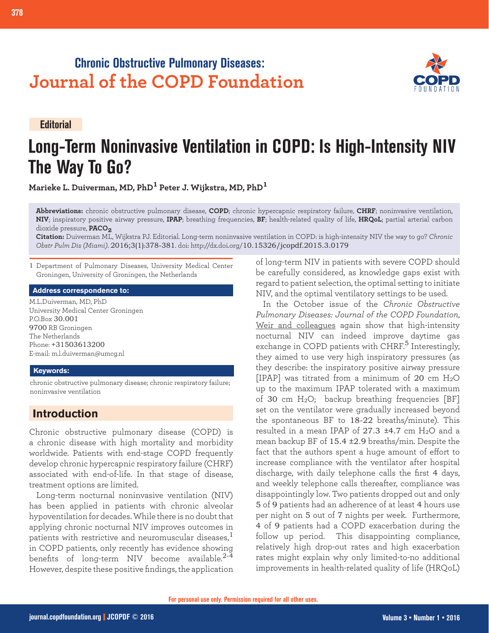# **Chronic Obstructive Pulmonary Diseases: Journal of the COPD Foundation**

**Editorial**

# **Long-Term Noninvasive Ventilation in COPD: Is High-Intensity NIV The Way To Go?**

**Marieke L. Duiverman, MD, PhD1 Peter J. Wijkstra, MD, PhD<sup>1</sup>**

**Abbreviations:** chronic obstructive pulmonary disease, **COPD**; chronic hypercapnic respiratory failure, **CHRF**; noninvasive ventilation, **NIV**; inspiratory positive airway pressure, **IPAP**; breathing frequencies, **BF**; health-related quality of life, **HRQoL**; partial arterial carbon dioxide pressure, **PACO2**

**Citation:** Duiverman ML, Wijkstra PJ. Editorial. Long-term noninvasive ventilation in COPD: is high-intensity NIV the way to go? *Chronic Obstr Pulm Dis (Miami)*. 2016;3(1):378-381. doi: http://dx.doi.org/10.15326/jcopdf.2015.3.0179

1 Department of Pulmonary Diseases, University Medical Center Groningen, University of Groningen, the Netherlands

### **Address correspondence to:**

M.L.Duiverman, MD, PhD University Medical Center Groningen P.O.Box 30.001 9700 RB Groningen The Netherlands Phone: +31503613200 E-mail: m.l.duiverman@umcg.nl

#### **Keywords:**

chronic obstructive pulmonary disease; chronic respiratory failure; noninvasive ventilation

## **Introduction**

Chronic obstructive pulmonary disease (COPD) is a chronic disease with high mortality and morbidity worldwide. Patients with end-stage COPD frequently develop chronic hypercapnic respiratory failure (CHRF) associated with end-of-life. In that stage of disease, treatment options are limited.

Long-term nocturnal noninvasive ventilation (NIV) has been applied in patients with chronic alveolar hypoventilation for decades. While there is no doubt that applying chronic nocturnal NIV improves outcomes in patients with restrictive and neuromuscular diseases, $<sup>1</sup>$ </sup> in COPD patients, only recently has evidence showing benefits of long-term NIV become available.<sup>2-4</sup> However, despite these positive findings, the application of long-term NIV in patients with severe COPD should be carefully considered, as knowledge gaps exist with regard to patient selection, the optimal setting to initiate NIV, and the optimal ventilatory settings to be used.

In the October issue of the *Chronic Obstructive Pulmonary Diseases: Journal of the COPD Foundation*, [Weir and colleagues](http://journal.copdfoundation.org/jcopdf/id/1076/High-Intensity-Non-Invasive-Positive-Pressure-Ventilation-HINPPV-for-Stable-Hypercapnic-Chronic-Obstructive-Pulmonary-Disease-COPD-Patients) again show that high-intensity nocturnal NIV can indeed improve daytime gas exchange in COPD patients with CHRF.<sup>5</sup> Interestingly, they aimed to use very high inspiratory pressures (as they describe: the inspiratory positive airway pressure [IPAP] was titrated from a minimum of 20 cm  $H_2O$ up to the maximum IPAP tolerated with a maximum of 30 cm H2O; backup breathing frequencies [BF] set on the ventilator were gradually increased beyond the spontaneous BF to 18-22 breaths/minute). This resulted in a mean IPAP of  $27.3$   $\pm 4.7$  cm H<sub>2</sub>O and a mean backup BF of 15.4 ±2.9 breaths/min. Despite the fact that the authors spent a huge amount of effort to increase compliance with the ventilator after hospital discharge, with daily telephone calls the first 4 days, and weekly telephone calls thereafter, compliance was disappointingly low. Two patients dropped out and only 5 of 9 patients had an adherence of at least 4 hours use per night on 5 out of 7 nights per week. Furthermore, 4 of 9 patients had a COPD exacerbation during the follow up period. This disappointing compliance, relatively high drop-out rates and high exacerbation rates might explain why only limited-to-no additional improvements in health-related quality of life (HRQoL)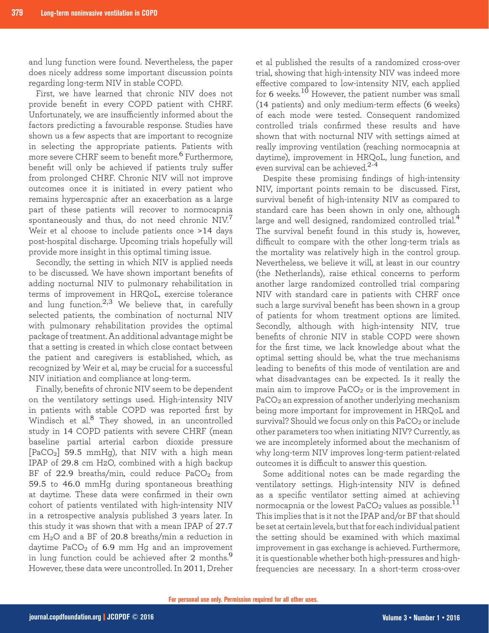and lung function were found. Nevertheless, the paper does nicely address some important discussion points regarding long-term NIV in stable COPD.

First, we have learned that chronic NIV does not provide benefit in every COPD patient with CHRF. Unfortunately, we are insufficiently informed about the factors predicting a favourable response. Studies have shown us a few aspects that are important to recognize in selecting the appropriate patients. Patients with more severe CHRF seem to benefit more.<sup>6</sup> Furthermore, benefit will only be achieved if patients truly suffer from prolonged CHRF. Chronic NIV will not improve outcomes once it is initiated in every patient who remains hypercapnic after an exacerbation as a large part of these patients will recover to normocapnia spontaneously and thus, do not need chronic NIV.<sup>7</sup> Weir et al choose to include patients once >14 days post-hospital discharge. Upcoming trials hopefully will provide more insight in this optimal timing issue.

Secondly, the setting in which NIV is applied needs to be discussed. We have shown important benefits of adding nocturnal NIV to pulmonary rehabilitation in terms of improvement in HRQoL, exercise tolerance and lung function.<sup>2,3</sup> We believe that, in carefully selected patients, the combination of nocturnal NIV with pulmonary rehabilitation provides the optimal package of treatment. An additional advantage might be that a setting is created in which close contact between the patient and caregivers is established, which, as recognized by Weir et al, may be crucial for a successful NIV initiation and compliance at long-term.

Finally, benefits of chronic NIV seem to be dependent on the ventilatory settings used. High-intensity NIV in patients with stable COPD was reported first by Windisch et al.<sup>8</sup> They showed, in an uncontrolled study in 14 COPD patients with severe CHRF (mean baseline partial arterial carbon dioxide pressure [PaCO2] 59.5 mmHg), that NIV with a high mean IPAP of 29.8 cm H2O, combined with a high backup BF of 22.9 breaths/min, could reduce  $PaCO<sub>2</sub>$  from 59.5 to 46.0 mmHg during spontaneous breathing at daytime. These data were confirmed in their own cohort of patients ventilated with high-intensity NIV in a retrospective analysis published 3 years later. In this study it was shown that with a mean IPAP of 27.7 cm H2O and a BF of 20.8 breaths/min a reduction in daytime  $PaCO<sub>2</sub>$  of 6.9 mm Hg and an improvement in lung function could be achieved after 2 months.<sup>9</sup> However, these data were uncontrolled. In 2011, Dreher

et al published the results of a randomized cross-over trial, showing that high-intensity NIV was indeed more effective compared to low-intensity NIV, each applied for 6 weeks.<sup>10</sup> However, the patient number was small (14 patients) and only medium-term effects (6 weeks) of each mode were tested. Consequent randomized controlled trials confirmed these results and have shown that with nocturnal NIV with settings aimed at really improving ventilation (reaching normocapnia at daytime), improvement in HRQoL, lung function, and even survival can be achieved.<sup>2-4</sup>

Despite these promising findings of high-intensity NIV, important points remain to be discussed. First, survival benefit of high-intensity NIV as compared to standard care has been shown in only one, although large and well designed, randomized controlled trial.<sup>4</sup> The survival benefit found in this study is, however, difficult to compare with the other long-term trials as the mortality was relatively high in the control group. Nevertheless, we believe it will, at least in our country (the Netherlands), raise ethical concerns to perform another large randomized controlled trial comparing NIV with standard care in patients with CHRF once such a large survival benefit has been shown in a group of patients for whom treatment options are limited. Secondly, although with high-intensity NIV, true benefits of chronic NIV in stable COPD were shown for the first time, we lack knowledge about what the optimal setting should be, what the true mechanisms leading to benefits of this mode of ventilation are and what disadvantages can be expected. Is it really the main aim to improve  $PaCO<sub>2</sub>$  or is the improvement in PaCO2 an expression of another underlying mechanism being more important for improvement in HRQoL and survival? Should we focus only on this  $PaCO<sub>2</sub>$  or include other parameters too when initiating NIV? Currently, as we are incompletely informed about the mechanism of why long-term NIV improves long-term patient-related outcomes it is difficult to answer this question.

Some additional notes can be made regarding the ventilatory settings. High-intensity NIV is defined as a specific ventilator setting aimed at achieving normocapnia or the lowest PaCO<sub>2</sub> values as possible.<sup>11</sup> This implies that is it not the IPAP and/or BF that should be set at certain levels, but that for each individual patient the setting should be examined with which maximal improvement in gas exchange is achieved. Furthermore, it is questionable whether both high-pressures and highfrequencies are necessary. In a short-term cross-over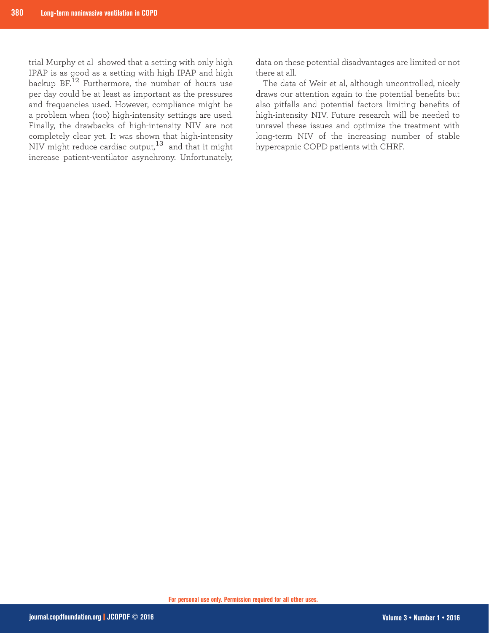trial Murphy et al showed that a setting with only high IPAP is as good as a setting with high IPAP and high backup BF.12 Furthermore, the number of hours use per day could be at least as important as the pressures and frequencies used. However, compliance might be a problem when (too) high-intensity settings are used. Finally, the drawbacks of high-intensity NIV are not completely clear yet. It was shown that high-intensity NIV might reduce cardiac output, $^{13}\,$  and that it might increase patient-ventilator asynchrony. Unfortunately,

data on these potential disadvantages are limited or not there at all.

The data of Weir et al, although uncontrolled, nicely draws our attention again to the potential benefits but also pitfalls and potential factors limiting benefits of high-intensity NIV. Future research will be needed to unravel these issues and optimize the treatment with long-term NIV of the increasing number of stable hypercapnic COPD patients with CHRF.